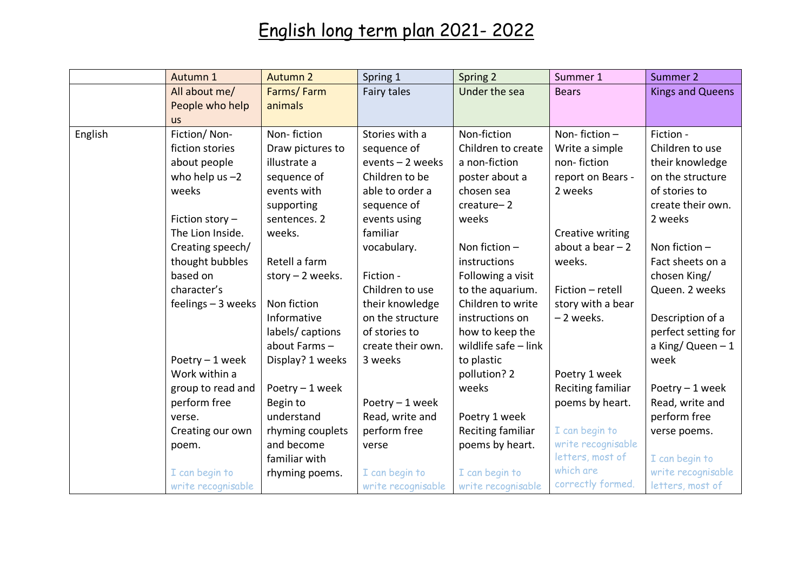## English long term plan 2021- 2022

|         | Autumn 1            | <b>Autumn 2</b>   | Spring 1           | Spring 2               | Summer 1                               | Summer 2                |
|---------|---------------------|-------------------|--------------------|------------------------|----------------------------------------|-------------------------|
|         | All about me/       | Farms/Farm        | Fairy tales        | Under the sea          | <b>Bears</b>                           | <b>Kings and Queens</b> |
|         | People who help     | animals           |                    |                        |                                        |                         |
|         | <b>us</b>           |                   |                    |                        |                                        |                         |
| English | Fiction/Non-        | Non-fiction       | Stories with a     | Non-fiction            | Non-fiction $-$                        | Fiction -               |
|         | fiction stories     | Draw pictures to  | sequence of        | Children to create     | Write a simple                         | Children to use         |
|         | about people        | illustrate a      | events - 2 weeks   | a non-fiction          | non-fiction                            | their knowledge         |
|         | who help us $-2$    | sequence of       | Children to be     | poster about a         | report on Bears -                      | on the structure        |
|         | weeks               | events with       | able to order a    | chosen sea             | 2 weeks                                | of stories to           |
|         |                     | supporting        | sequence of        | creature-2             |                                        | create their own.       |
|         | Fiction story -     | sentences. 2      | events using       | weeks                  |                                        | 2 weeks                 |
|         | The Lion Inside.    | weeks.            | familiar           |                        | Creative writing                       |                         |
|         | Creating speech/    |                   | vocabulary.        | Non fiction $-$        | about a bear $-2$                      | Non fiction $-$         |
|         | thought bubbles     | Retell a farm     |                    | instructions           | weeks.                                 | Fact sheets on a        |
|         | based on            | story $-2$ weeks. | Fiction -          | Following a visit      |                                        | chosen King/            |
|         | character's         |                   | Children to use    | to the aquarium.       | Fiction - retell                       | Queen. 2 weeks          |
|         | feelings $-3$ weeks | Non fiction       | their knowledge    | Children to write      | story with a bear                      |                         |
|         |                     | Informative       | on the structure   | instructions on        | - 2 weeks.                             | Description of a        |
|         |                     | labels/captions   | of stories to      | how to keep the        |                                        | perfect setting for     |
|         |                     | about Farms-      | create their own.  | wildlife safe $-$ link |                                        | a King/Queen $-1$       |
|         | Poetry $-1$ week    | Display? 1 weeks  | 3 weeks            | to plastic             |                                        | week                    |
|         | Work within a       |                   |                    | pollution? 2           | Poetry 1 week                          |                         |
|         | group to read and   | Poetry $-1$ week  |                    | weeks                  | Reciting familiar                      | Poetry $-1$ week        |
|         | perform free        | Begin to          | Poetry $-1$ week   |                        | poems by heart.                        | Read, write and         |
|         | verse.              | understand        | Read, write and    | Poetry 1 week          |                                        | perform free            |
|         | Creating our own    | rhyming couplets  | perform free       | Reciting familiar      | I can begin to                         | verse poems.            |
|         | poem.               | and become        | verse              | poems by heart.        | write recognisable<br>letters, most of |                         |
|         |                     | familiar with     |                    |                        | which are                              | I can begin to          |
|         | I can begin to      | rhyming poems.    | I can begin to     | I can begin to         | correctly formed.                      | write recognisable      |
|         | write recognisable  |                   | write recognisable | write recognisable     |                                        | letters, most of        |